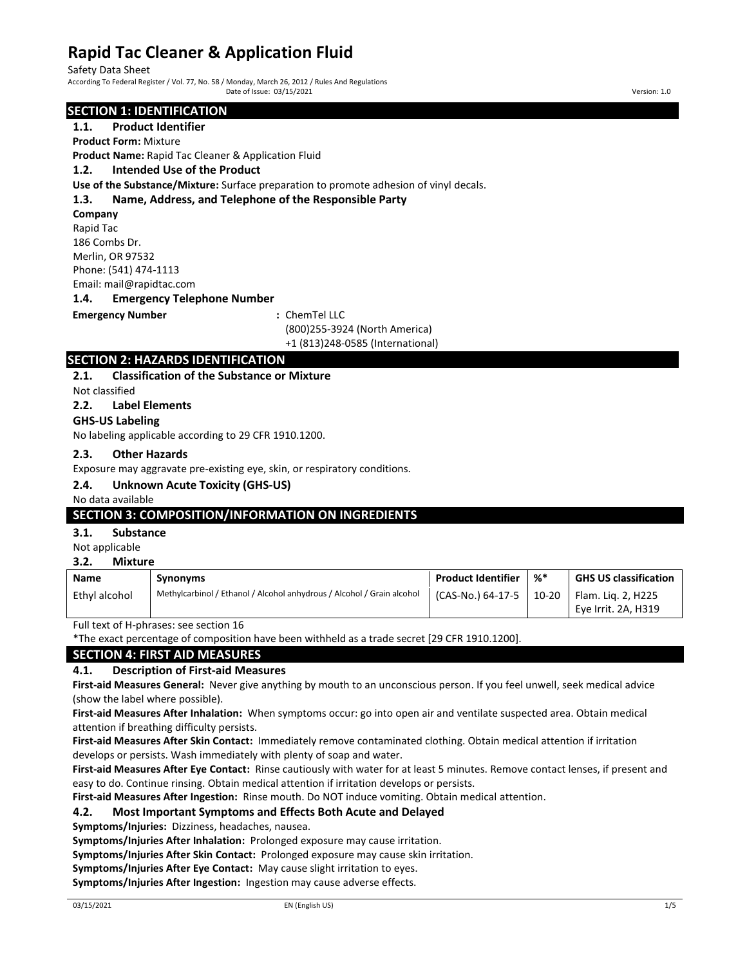Safety Data Sheet<br>According To Federal Register / Vol. 77, No. 58 / Monday, March 26, 2012 / Rules And Regulations Date of Issue: 03/15/2021 Version: 1.0

#### **SECTION 1: IDENTIFICATION**

# **1.1. Product Identifier**

**Product Form:** Mixture

**Product Name:** Rapid Tac Cleaner & Application Fluid

#### **1.2. Intended Use of the Product**

**Use of the Substance/Mixture:** Surface preparation to promote adhesion of vinyl decals.

### **1.3. Name, Address, and Telephone of the Responsible Party**

**Company** Rapid Tac 186 Combs Dr. Merlin, OR 97532 Phone: (541) 474-1113 Email: mail@rapidtac.com

#### **1.4. Emergency Telephone Number**

#### **Emergency Number :** ChemTel LLC

(800)255-3924 (North America) +1 (813)248-0585 (International)

## **SECTION 2: HAZARDS IDENTIFICATION**

#### **2.1. Classification of the Substance or Mixture**

Not classified

**2.2. Label Elements**

#### **GHS-US Labeling**

No labeling applicable according to 29 CFR 1910.1200.

#### **2.3. Other Hazards**

Exposure may aggravate pre-existing eye, skin, or respiratory conditions.

#### **2.4. Unknown Acute Toxicity (GHS-US)**

#### No data available

### **SECTION 3: COMPOSITION/INFORMATION ON INGREDIENTS**

#### **3.1. Substance**

Not applicable

#### **3.2. Mixture**

| Name          | Synonyms                                                               | <b>Product Identifier</b> | $\frac{9}{6}$ | <b>GHS US classification</b> |
|---------------|------------------------------------------------------------------------|---------------------------|---------------|------------------------------|
| Ethyl alcohol | Methylcarbinol / Ethanol / Alcohol anhydrous / Alcohol / Grain alcohol | (CAS-No.) 64-17-5         | $10-20$       | Flam. Lig. 2, H225           |
|               |                                                                        |                           |               | Eye Irrit. 2A, H319          |

Full text of H-phrases: see section 16

\*The exact percentage of composition have been withheld as a trade secret [29 CFR 1910.1200].

### **SECTION 4: FIRST AID MEASURES**

#### **4.1. Description of First-aid Measures**

**First-aid Measures General:** Never give anything by mouth to an unconscious person. If you feel unwell, seek medical advice (show the label where possible).

**First-aid Measures After Inhalation:** When symptoms occur: go into open air and ventilate suspected area. Obtain medical attention if breathing difficulty persists.

**First-aid Measures After Skin Contact:** Immediately remove contaminated clothing. Obtain medical attention if irritation develops or persists. Wash immediately with plenty of soap and water.

**First-aid Measures After Eye Contact:** Rinse cautiously with water for at least 5 minutes. Remove contact lenses, if present and easy to do. Continue rinsing. Obtain medical attention if irritation develops or persists.

**First-aid Measures After Ingestion:** Rinse mouth. Do NOT induce vomiting. Obtain medical attention.

#### **4.2. Most Important Symptoms and Effects Both Acute and Delayed**

**Symptoms/Injuries:** Dizziness, headaches, nausea.

**Symptoms/Injuries After Inhalation:** Prolonged exposure may cause irritation.

**Symptoms/Injuries After Skin Contact:** Prolonged exposure may cause skin irritation.

**Symptoms/Injuries After Eye Contact:** May cause slight irritation to eyes.

**Symptoms/Injuries After Ingestion:** Ingestion may cause adverse effects.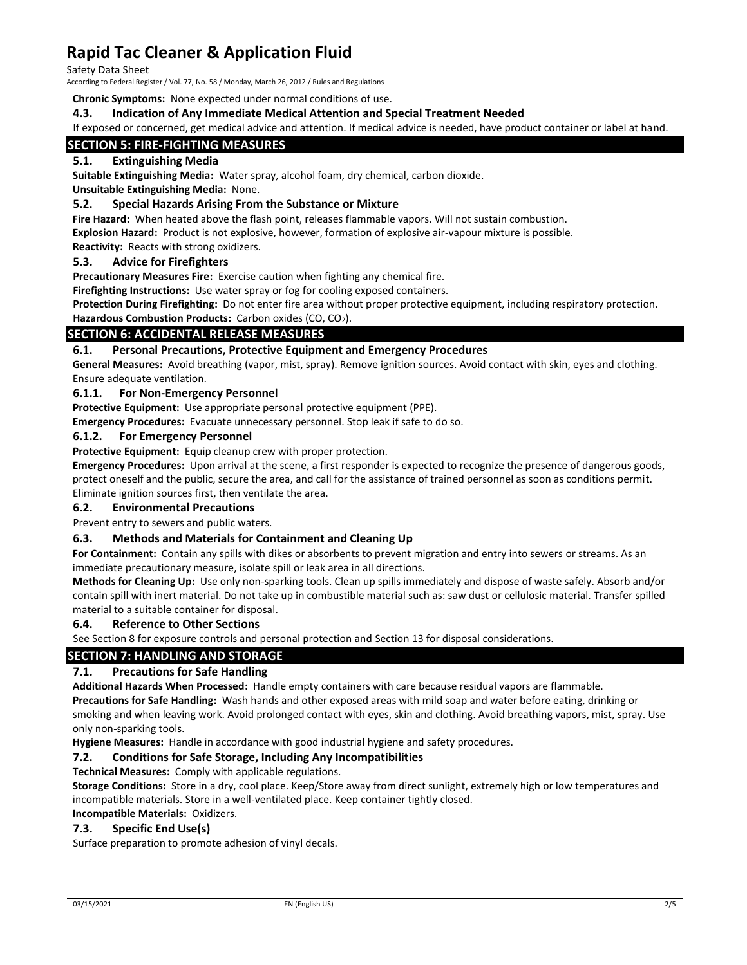Safety Data Sheet

According to Federal Register / Vol. 77, No. 58 / Monday, March 26, 2012 / Rules and Regulations

**Chronic Symptoms:** None expected under normal conditions of use.

#### **4.3. Indication of Any Immediate Medical Attention and Special Treatment Needed**

If exposed or concerned, get medical advice and attention. If medical advice is needed, have product container or label at hand.

### **SECTION 5: FIRE-FIGHTING MEASURES**

### **5.1. Extinguishing Media**

**Suitable Extinguishing Media:** Water spray, alcohol foam, dry chemical, carbon dioxide.

#### **Unsuitable Extinguishing Media:** None.

#### **5.2. Special Hazards Arising From the Substance or Mixture**

**Fire Hazard:** When heated above the flash point, releases flammable vapors. Will not sustain combustion. **Explosion Hazard:** Product is not explosive, however, formation of explosive air-vapour mixture is possible.

**Reactivity:** Reacts with strong oxidizers.

#### **5.3. Advice for Firefighters**

**Precautionary Measures Fire:** Exercise caution when fighting any chemical fire.

**Firefighting Instructions:** Use water spray or fog for cooling exposed containers.

**Protection During Firefighting:** Do not enter fire area without proper protective equipment, including respiratory protection.

#### Hazardous Combustion Products: Carbon oxides (CO, CO<sub>2</sub>).

#### **SECTION 6: ACCIDENTAL RELEASE MEASURES**

#### **6.1. Personal Precautions, Protective Equipment and Emergency Procedures**

**General Measures:** Avoid breathing (vapor, mist, spray). Remove ignition sources. Avoid contact with skin, eyes and clothing. Ensure adequate ventilation.

#### **6.1.1. For Non-Emergency Personnel**

**Protective Equipment:** Use appropriate personal protective equipment (PPE).

**Emergency Procedures:** Evacuate unnecessary personnel. Stop leak if safe to do so.

#### **6.1.2. For Emergency Personnel**

**Protective Equipment:** Equip cleanup crew with proper protection.

**Emergency Procedures:** Upon arrival at the scene, a first responder is expected to recognize the presence of dangerous goods, protect oneself and the public, secure the area, and call for the assistance of trained personnel as soon as conditions permit. Eliminate ignition sources first, then ventilate the area.

#### **6.2. Environmental Precautions**

Prevent entry to sewers and public waters.

#### **6.3. Methods and Materials for Containment and Cleaning Up**

**For Containment:** Contain any spills with dikes or absorbents to prevent migration and entry into sewers or streams. As an immediate precautionary measure, isolate spill or leak area in all directions.

**Methods for Cleaning Up:** Use only non-sparking tools. Clean up spills immediately and dispose of waste safely. Absorb and/or contain spill with inert material. Do not take up in combustible material such as: saw dust or cellulosic material. Transfer spilled material to a suitable container for disposal.

#### **6.4. Reference to Other Sections**

See Section 8 for exposure controls and personal protection and Section 13 for disposal considerations.

### **SECTION 7: HANDLING AND STORAGE**

#### **7.1. Precautions for Safe Handling**

**Additional Hazards When Processed:** Handle empty containers with care because residual vapors are flammable.

**Precautions for Safe Handling:** Wash hands and other exposed areas with mild soap and water before eating, drinking or smoking and when leaving work. Avoid prolonged contact with eyes, skin and clothing. Avoid breathing vapors, mist, spray. Use only non-sparking tools.

**Hygiene Measures:** Handle in accordance with good industrial hygiene and safety procedures.

#### **7.2. Conditions for Safe Storage, Including Any Incompatibilities**

**Technical Measures:** Comply with applicable regulations.

**Storage Conditions:** Store in a dry, cool place. Keep/Store away from direct sunlight, extremely high or low temperatures and incompatible materials. Store in a well-ventilated place. Keep container tightly closed.

**Incompatible Materials:** Oxidizers.

#### **7.3. Specific End Use(s)**

Surface preparation to promote adhesion of vinyl decals.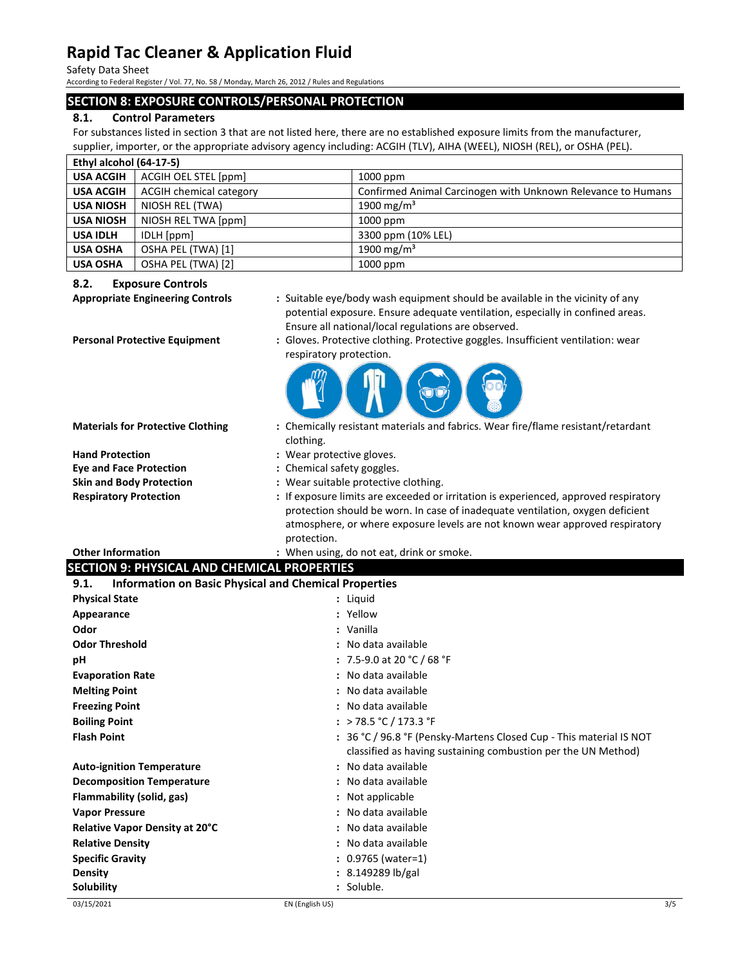Safety Data Sheet

According to Federal Register / Vol. 77, No. 58 / Monday, March 26, 2012 / Rules and Regulations

### **SECTION 8: EXPOSURE CONTROLS/PERSONAL PROTECTION**

#### **8.1. Control Parameters**

For substances listed in section 3 that are not listed here, there are no established exposure limits from the manufacturer, supplier, importer, or the appropriate advisory agency including: ACGIH (TLV), AIHA (WEEL), NIOSH (REL), or OSHA (PEL).

| Ethyl alcohol (64-17-5) |                         |                                                              |  |
|-------------------------|-------------------------|--------------------------------------------------------------|--|
| <b>USA ACGIH</b>        | ACGIH OEL STEL [ppm]    | 1000 ppm                                                     |  |
| <b>USA ACGIH</b>        | ACGIH chemical category | Confirmed Animal Carcinogen with Unknown Relevance to Humans |  |
| <b>USA NIOSH</b>        | NIOSH REL (TWA)         | 1900 mg/m <sup>3</sup>                                       |  |
| <b>USA NIOSH</b>        | NIOSH REL TWA [ppm]     | $1000$ ppm                                                   |  |
| <b>USA IDLH</b>         | IDLH [ppm]              | 3300 ppm (10% LEL)                                           |  |
| <b>USA OSHA</b>         | OSHA PEL (TWA) [1]      | 1900 mg/m <sup>3</sup>                                       |  |
| <b>USA OSHA</b>         | OSHA PEL (TWA) [2]      | 1000 ppm                                                     |  |

#### **8.2. Exposure Controls**

- **Appropriate Engineering Controls :** Suitable eye/body wash equipment should be available in the vicinity of any potential exposure. Ensure adequate ventilation, especially in confined areas. Ensure all national/local regulations are observed.
- 
- **Personal Protective Equipment :** Gloves. Protective clothing. Protective goggles. Insufficient ventilation: wear respiratory protection.



**Materials for Protective Clothing :** Chemically resistant materials and fabrics. Wear fire/flame resistant/retardant

|                                 | clothing.                                                                                                                                                              |
|---------------------------------|------------------------------------------------------------------------------------------------------------------------------------------------------------------------|
| <b>Hand Protection</b>          | : Wear protective gloves.                                                                                                                                              |
| <b>Eye and Face Protection</b>  | : Chemical safety goggles.                                                                                                                                             |
| <b>Skin and Body Protection</b> | : Wear suitable protective clothing.                                                                                                                                   |
| <b>Respiratory Protection</b>   | : If exposure limits are exceeded or irritation is experienced, approved respiratory<br>protection should be worn. In case of inadequate ventilation, oxygen deficient |

| protection should be worn. In case of madequate ventilation, oxygen deficient |
|-------------------------------------------------------------------------------|
| atmosphere, or where exposure levels are not known wear approved respiratory  |
| protection.                                                                   |

| <b>Other Information</b>                    | : When using, do not eat, drink or smoke. |
|---------------------------------------------|-------------------------------------------|
| SECTION 9: PHYSICAL AND CHEMICAL PROPERTIES |                                           |

| <b>Information on Basic Physical and Chemical Properties</b><br>9.1. |                                                                     |  |
|----------------------------------------------------------------------|---------------------------------------------------------------------|--|
| <b>Physical State</b>                                                | : Liquid                                                            |  |
| Appearance                                                           | : Yellow                                                            |  |
| Odor                                                                 | : Vanilla                                                           |  |
| <b>Odor Threshold</b>                                                | : No data available                                                 |  |
| рH                                                                   | : 7.5-9.0 at 20 °C / 68 °F                                          |  |
| <b>Evaporation Rate</b>                                              | : No data available                                                 |  |
| <b>Melting Point</b>                                                 | : No data available                                                 |  |
| <b>Freezing Point</b>                                                | : No data available                                                 |  |
| <b>Boiling Point</b>                                                 | : > 78.5 °C / 173.3 °F                                              |  |
| <b>Flash Point</b>                                                   | : 36 °C / 96.8 °F (Pensky-Martens Closed Cup - This material IS NOT |  |
|                                                                      | classified as having sustaining combustion per the UN Method)       |  |
| <b>Auto-ignition Temperature</b>                                     | : No data available                                                 |  |
| <b>Decomposition Temperature</b>                                     | : No data available                                                 |  |
| Flammability (solid, gas)                                            | : Not applicable                                                    |  |
| <b>Vapor Pressure</b>                                                | : No data available                                                 |  |
| <b>Relative Vapor Density at 20°C</b>                                | : No data available                                                 |  |
| <b>Relative Density</b>                                              | : No data available                                                 |  |
| <b>Specific Gravity</b>                                              | $: 0.9765$ (water=1)                                                |  |
| <b>Density</b>                                                       | $: 8.149289 \, lb/gal$                                              |  |
| Solubility                                                           | : Soluble.                                                          |  |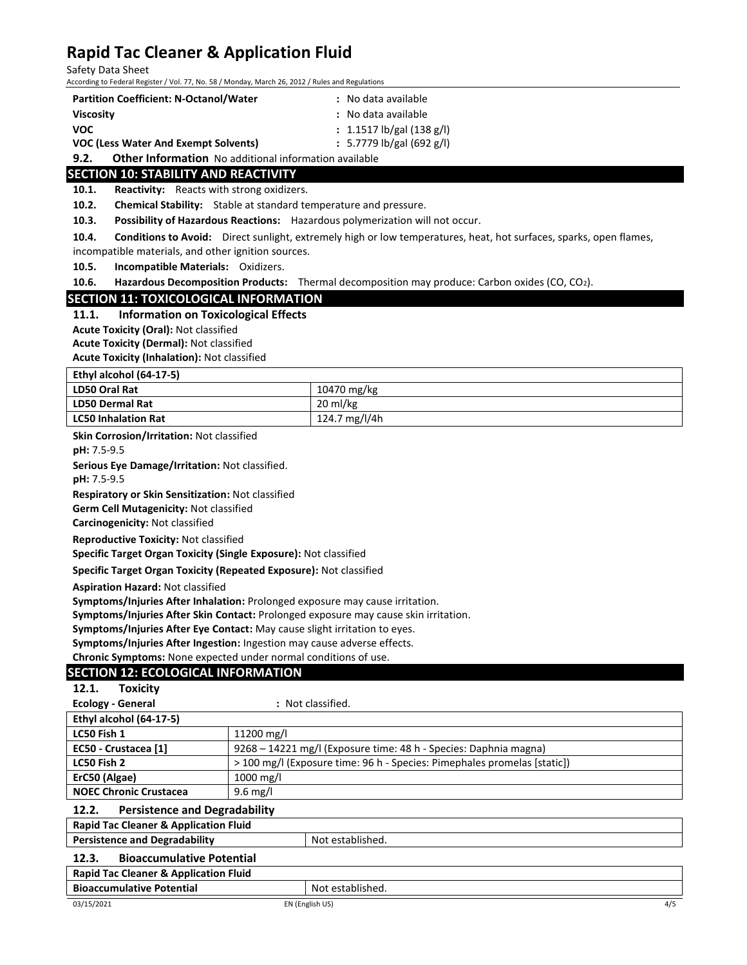Safety Data Sheet

According to Federal Register / Vol. 77, No. 58 / Monday, March 26, 2012 / Rules and Regulations

| <b>Partition Coefficient: N-Octanol/Water</b> | : No data available       |
|-----------------------------------------------|---------------------------|
| <b>Viscosity</b>                              | : No data available       |
| <b>VOC</b>                                    | : 1.1517 lb/gal (138 g/l) |

**VOC (Less Water And Exempt Solvents) :** 5.7779 lb/gal (692 g/l)

**9.2. Other Information** No additional information available

### **SECTION 10: STABILITY AND REACTIVITY**

**10.1. Reactivity:** Reacts with strong oxidizers.

**10.2. Chemical Stability:** Stable at standard temperature and pressure.

**10.3. Possibility of Hazardous Reactions:** Hazardous polymerization will not occur.

**10.4. Conditions to Avoid:** Direct sunlight, extremely high or low temperatures, heat, hot surfaces, sparks, open flames, incompatible materials, and other ignition sources.

**10.5. Incompatible Materials:** Oxidizers.

**10.6. Hazardous Decomposition Products:** Thermal decomposition may produce: Carbon oxides (CO, CO2).

#### **SECTION 11: TOXICOLOGICAL INFORMATION**

**11.1. Information on Toxicological Effects**

**Acute Toxicity (Oral):** Not classified

**Acute Toxicity (Dermal):** Not classified

**Acute Toxicity (Inhalation):** Not classified

| Ethyl alcohol (64-17-5)    |               |  |
|----------------------------|---------------|--|
| <b>LD50 Oral Rat</b>       | 10470 mg/kg   |  |
| <b>LD50 Dermal Rat</b>     | 20 ml/kg      |  |
| <b>LC50 Inhalation Rat</b> | 124.7 mg/l/4h |  |

**Skin Corrosion/Irritation:** Not classified

**pH:** 7.5-9.5

**Serious Eye Damage/Irritation:** Not classified.

**pH:** 7.5-9.5

**Respiratory or Skin Sensitization:** Not classified

**Germ Cell Mutagenicity:** Not classified

**Carcinogenicity:** Not classified

**Reproductive Toxicity:** Not classified

**Specific Target Organ Toxicity (Single Exposure):** Not classified

**Specific Target Organ Toxicity (Repeated Exposure):** Not classified

**Aspiration Hazard:** Not classified

**Symptoms/Injuries After Inhalation:** Prolonged exposure may cause irritation.

**Symptoms/Injuries After Skin Contact:** Prolonged exposure may cause skin irritation.

**Symptoms/Injuries After Eye Contact:** May cause slight irritation to eyes.

**Symptoms/Injuries After Ingestion:** Ingestion may cause adverse effects.

**Chronic Symptoms:** None expected under normal conditions of use.

### **SECTION 12: ECOLOGICAL INFORMATION**

| 12.1. | <b>Toxicity</b> |  |
|-------|-----------------|--|
|       |                 |  |

| <b>Ecology - General</b> | : Not classified. |
|--------------------------|-------------------|

| Ethyl alcohol (64-17-5)       |                                                                          |
|-------------------------------|--------------------------------------------------------------------------|
| LC50 Fish 1                   | 11200 mg/l                                                               |
| EC50 - Crustacea [1]          | 9268 – 14221 mg/l (Exposure time: 48 h - Species: Daphnia magna)         |
| LC50 Fish 2                   | > 100 mg/l (Exposure time: 96 h - Species: Pimephales promelas [static]) |
| ErC50 (Algae)                 | 1000 mg/l                                                                |
| <b>NOEC Chronic Crustacea</b> | $9.6 \text{ mg/l}$                                                       |

#### **12.2. Persistence and Degradability**

**Rapid Tac Cleaner & Application Fluid**

**Persistence and Degradability** Not established.

### **12.3. Bioaccumulative Potential**

#### **Rapid Tac Cleaner & Application Fluid**

03/15/2021 EN (English US) 4/5 **Bioaccumulative Potential Microsoft Except Potential Point Point Point Point Point Point Point Point Point Point Point Point Point Point Point Point Point Point Point Point Point Point Point Point Point Point Point Point**